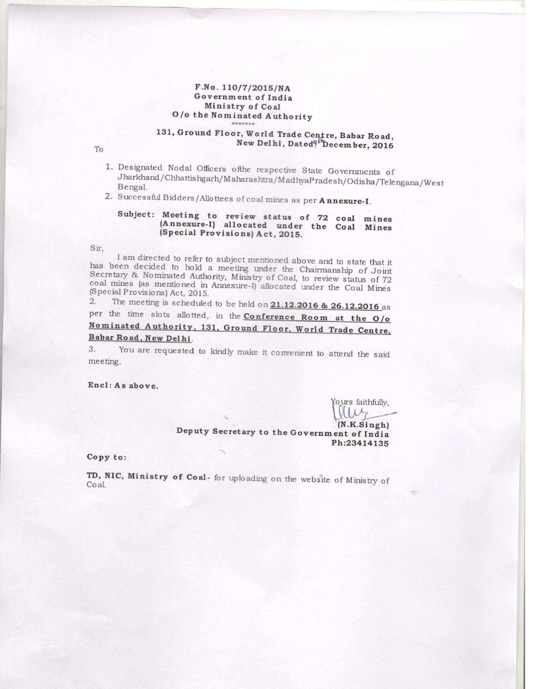## F.No. 110/7/2015/NA Government of India Ministry of Coal O/o the Nominated Authority

# 131, Ground Floor, World Trade Centre, Babar Road, New Delhi, Dated<sup>9</sup> December, 2016

- 1. Designated Nodal Officers of the respective State Governments of Jharkhand/Chhattishgarh/Maharashtra/MadhyaPradesh/Odisha/Telengana/West Bengal.
- 2. Successful Bidders/Allottees of coal mines as per **Annexure-I**.

### Subject: Meeting to review status of 72 coal mines (Annexure-i) allocated under the Coal Mines (Special Provisions) Act, 2015.

#### Sir,

I am directed to refer to subject mentioned above and to state that it<br>has been decided to hold a meeting under the Chairmanship of Joint<br>Secretary & Nominated Authority, Ministry of Coal, to review status of 72<br>coal mines

The meeting is scheduled to be held on  $21.12.2016$  &  $26.12.2016$  as per the time slots allotted, in the **Conference Room at the O/o** 

## Nominated Authority, 131, Ground Floor, World Trade Centre. Babar Road, New Delhi.

3. You are requested to kindly make it convenient to attend the said meeting.

### Encl: As above.

Yours faithfully,<br>
| || || || ||<br>| || || ||

(N.K.Singh) Deputy Secretary to the Government of India Ph:23414135

Copy to:

TD, NIC, Ministry of Coal- for uploading on the website of Ministry of Coal.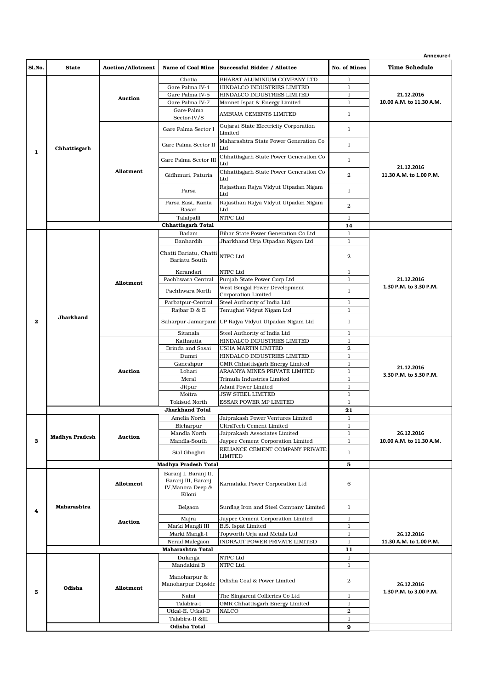|        |                  |                          |                                                                           |                                                                |                     | Annexure-I                             |
|--------|------------------|--------------------------|---------------------------------------------------------------------------|----------------------------------------------------------------|---------------------|----------------------------------------|
| Sl.No. | State            | <b>Auction/Allotment</b> | Name of Coal Mine                                                         | Successful Bidder / Allottee                                   | <b>No. of Mines</b> | <b>Time Schedule</b>                   |
|        |                  |                          | Chotia                                                                    | BHARAT ALUMINIUM COMPANY LTD                                   | 1                   |                                        |
|        |                  |                          | Gare Palma IV-4                                                           | HINDALCO INDUSTRIES LIMITED                                    | $\mathbf{1}$        |                                        |
|        |                  | <b>Auction</b>           | Gare Palma IV-5                                                           | HINDALCO INDUSTRIES LIMITED                                    | 1                   | 21.12.2016                             |
|        |                  |                          | Gare Palma IV-7                                                           | Monnet Ispat & Energy Limited                                  | 1                   | 10.00 A.M. to 11.30 A.M.               |
| 1      | Chhattisgarh     |                          | Gare-Palma<br>Sector-IV/8                                                 | AMBUJA CEMENTS LIMITED                                         | 1                   |                                        |
|        |                  | <b>Allotment</b>         | Gare Palma Sector I                                                       | Gujarat State Electricity Corporation<br>Limited               | 1                   | 21.12.2016<br>11.30 A.M. to 1.00 P.M.  |
|        |                  |                          | Gare Palma Sector II                                                      | Maharashtra State Power Generation Co<br>Ltd                   | 1                   |                                        |
|        |                  |                          | Gare Palma Sector III                                                     | Chhattisgarh State Power Generation Co<br>Ltd                  | 1                   |                                        |
|        |                  |                          | Gidhmuri, Paturia                                                         | Chhattisgarh State Power Generation Co<br>Ltd                  | $\boldsymbol{2}$    |                                        |
|        |                  |                          | Parsa                                                                     | Rajasthan Rajya Vidyut Utpadan Nigam<br>Ltd                    | 1                   |                                        |
|        |                  |                          | Parsa East, Kanta<br>Basan                                                | Rajasthan Rajya Vidyut Utpadan Nigam<br>Ltd                    | $\boldsymbol{2}$    |                                        |
|        |                  |                          | Talaipalli                                                                | NTPC Ltd                                                       | 1                   |                                        |
|        |                  |                          | <b>Chhattisgarh Total</b>                                                 |                                                                | 14                  |                                        |
|        |                  |                          | Badam                                                                     | Bihar State Power Generation Co Ltd                            | 1                   |                                        |
|        | <b>Jharkhand</b> | Allotment                | Banhardih                                                                 | Jharkhand Urja Utpadan Nigam Ltd                               | $\mathbf{1}$        | 21.12.2016<br>1.30 P.M. to 3.30 P.M.   |
|        |                  |                          | Chatti Bariatu, Chatti<br>Bariatu South                                   | NTPC Ltd                                                       | $\boldsymbol{2}$    |                                        |
|        |                  |                          | Kerandari                                                                 | NTPC Ltd                                                       | 1                   |                                        |
|        |                  |                          | Pachhwara Central                                                         | Punjab State Power Corp Ltd                                    | 1                   |                                        |
|        |                  |                          | Pachhwara North                                                           | West Bengal Power Development<br>Corporation Limited           | 1                   |                                        |
|        |                  |                          | Parbatpur-Central<br>Rajbar D & E                                         | Steel Authority of India Ltd<br>Tenughat Vidyut Nigam Ltd      | 1<br>$\mathbf{1}$   |                                        |
| 2      |                  |                          |                                                                           | Saharpur Jamarpani  UP Rajya Vidyut Utpadan Nigam Ltd          | 1                   |                                        |
|        |                  |                          | Sitanala                                                                  | Steel Authority of India Ltd                                   | 1                   |                                        |
|        |                  |                          | Kathautia                                                                 | HINDALCO INDUSTRIES LIMITED                                    | $\mathbf{1}$        | 21.12.2016<br>3.30 P.M. to 5.30 P.M.   |
|        |                  |                          | Brinda and Sasai                                                          | USHA MARTIN LIMITED                                            | $\boldsymbol{2}$    |                                        |
|        |                  | <b>Auction</b>           | Dumri                                                                     | HINDALCO INDUSTRIES LIMITED                                    | $\mathbf{1}$        |                                        |
|        |                  |                          | Ganeshpur                                                                 | GMR Chhattisgarh Energy Limited                                | 1                   |                                        |
|        |                  |                          | Lohari                                                                    | ARAANYA MINES PRIVATE LIMITED                                  | 1                   |                                        |
|        |                  |                          | Meral                                                                     | Trimula Industries Limited                                     | $\mathbf{1}$        |                                        |
|        |                  |                          | Jitpur                                                                    | Adani Power Limited                                            | 1                   |                                        |
|        |                  |                          | Moitra                                                                    | <b>JSW STEEL LIMITED</b>                                       | 1                   |                                        |
|        |                  |                          | <b>Tokisud North</b>                                                      | ESSAR POWER MP LIMITED                                         | 1                   |                                        |
|        |                  |                          | <b>Jharkhand Total</b>                                                    |                                                                | 21                  |                                        |
|        | Madhya Pradesh   | <b>Auction</b>           | Amelia North                                                              | Jaiprakash Power Ventures Limited                              | $\mathbf{1}$        | 26.12.2016<br>10.00 A.M. to 11.30 A.M. |
|        |                  |                          | Bicharpur                                                                 | UltraTech Cement Limited                                       | 1                   |                                        |
|        |                  |                          | Mandla North                                                              | Jaiprakash Associates Limited                                  | $\mathbf{1}$        |                                        |
| 3      |                  |                          | Mandla-South                                                              | Jaypee Cement Corporation Limited                              | 1                   |                                        |
|        |                  |                          | Sial Ghoghri                                                              | RELIANCE CEMENT COMPANY PRIVATE                                | 1                   |                                        |
|        |                  |                          |                                                                           | <b>LIMITED</b>                                                 |                     |                                        |
|        |                  |                          | <b>Madhya Pradesh Total</b>                                               |                                                                | 5                   |                                        |
|        | Maharashtra      | Allotment                | Baranj I, Baranj II,<br>Baranj III, Baranj<br>IV, Manora Deep &<br>Kiloni | Karnataka Power Corporation Ltd                                | 6                   |                                        |
| 4      |                  | <b>Auction</b>           | Belgaon                                                                   | Sunflag Iron and Steel Company Limited                         | 1                   |                                        |
|        |                  |                          | Majra<br>Marki Mangli III                                                 | Jaypee Cement Corporation Limited<br><b>B.S.</b> Ispat Limited | 1<br>$\mathbf{1}$   | 26.12.2016<br>11.30 A.M. to 1.00 P.M.  |
|        |                  |                          | Marki Mangli-I                                                            | Topworth Urja and Metals Ltd                                   | 1                   |                                        |
|        |                  |                          | Nerad Malegaon                                                            | INDRAJIT POWER PRIVATE LIMITED                                 | $\,1$               |                                        |
|        |                  |                          | Maharashtra Total                                                         |                                                                | 11                  |                                        |
|        | Odisha           | Allotment                | Dulanga                                                                   | NTPC Ltd                                                       | 1                   | 26.12.2016<br>1.30 P.M. to 3.00 P.M.   |
|        |                  |                          | Mandakini B                                                               | NTPC Ltd.                                                      | $\mathbf{1}$        |                                        |
| 5      |                  |                          | Manoharpur &<br>Manoharpur Dipside                                        | Odisha Coal & Power Limited                                    | $\boldsymbol{2}$    |                                        |
|        |                  |                          | Naini                                                                     | The Singareni Collieries Co Ltd                                | 1                   |                                        |
|        |                  |                          | Talabira-I                                                                | GMR Chhattisgarh Energy Limited                                | 1                   |                                        |
|        |                  |                          | Utkal-E, Utkal-D                                                          | NALCO                                                          | $\overline{2}$      |                                        |
|        |                  |                          | Talabira-II &III                                                          |                                                                | $\mathbf{1}$        |                                        |
|        | Odisha Total     |                          |                                                                           |                                                                |                     |                                        |